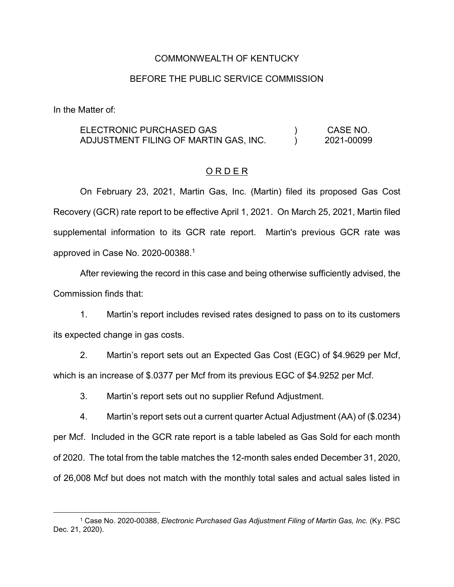### COMMONWEALTH OF KENTUCKY

### BEFORE THE PUBLIC SERVICE COMMISSION

In the Matter of:

#### ELECTRONIC PURCHASED GAS ADJUSTMENT FILING OF MARTIN GAS, INC.  $\left( \right)$  $\lambda$ CASE NO. 2021-00099

## O R D E R

On February 23, 2021, Martin Gas, Inc. (Martin) filed its proposed Gas Cost Recovery (GCR) rate report to be effective April 1, 2021. On March 25, 2021, Martin filed supplemental information to its GCR rate report. Martin's previous GCR rate was approved in Case No. 2020-00388. 1

After reviewing the record in this case and being otherwise sufficiently advised, the Commission finds that:

1. Martin's report includes revised rates designed to pass on to its customers its expected change in gas costs.

2. Martin's report sets out an Expected Gas Cost (EGC) of \$4.9629 per Mcf, which is an increase of \$.0377 per Mcf from its previous EGC of \$4.9252 per Mcf.

3. Martin's report sets out no supplier Refund Adjustment.

4. Martin's report sets out a current quarter Actual Adjustment (AA) of (\$.0234) per Mcf. Included in the GCR rate report is a table labeled as Gas Sold for each month of 2020. The total from the table matches the 12-month sales ended December 31, 2020, of 26,008 Mcf but does not match with the monthly total sales and actual sales listed in

 <sup>1</sup> Case No. 2020-00388, *Electronic Purchased Gas Adjustment Filing of Martin Gas, Inc.* (Ky. PSC Dec. 21, 2020).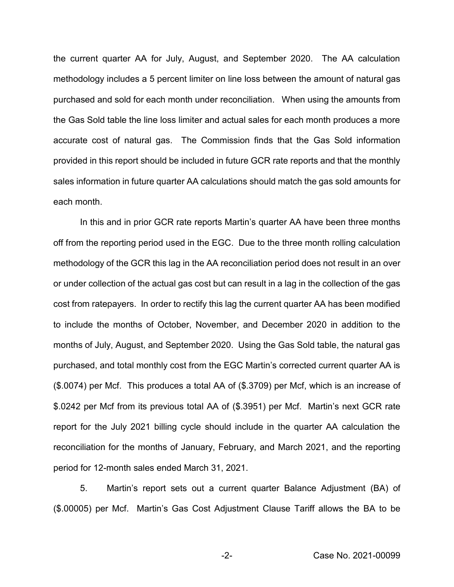the current quarter AA for July, August, and September 2020. The AA calculation methodology includes a 5 percent limiter on line loss between the amount of natural gas purchased and sold for each month under reconciliation. When using the amounts from the Gas Sold table the line loss limiter and actual sales for each month produces a more accurate cost of natural gas. The Commission finds that the Gas Sold information provided in this report should be included in future GCR rate reports and that the monthly sales information in future quarter AA calculations should match the gas sold amounts for each month.

In this and in prior GCR rate reports Martin's quarter AA have been three months off from the reporting period used in the EGC. Due to the three month rolling calculation methodology of the GCR this lag in the AA reconciliation period does not result in an over or under collection of the actual gas cost but can result in a lag in the collection of the gas cost from ratepayers. In order to rectify this lag the current quarter AA has been modified to include the months of October, November, and December 2020 in addition to the months of July, August, and September 2020. Using the Gas Sold table, the natural gas purchased, and total monthly cost from the EGC Martin's corrected current quarter AA is (\$.0074) per Mcf. This produces a total AA of (\$.3709) per Mcf, which is an increase of \$.0242 per Mcf from its previous total AA of (\$.3951) per Mcf. Martin's next GCR rate report for the July 2021 billing cycle should include in the quarter AA calculation the reconciliation for the months of January, February, and March 2021, and the reporting period for 12-month sales ended March 31, 2021.

5. Martin's report sets out a current quarter Balance Adjustment (BA) of (\$.00005) per Mcf. Martin's Gas Cost Adjustment Clause Tariff allows the BA to be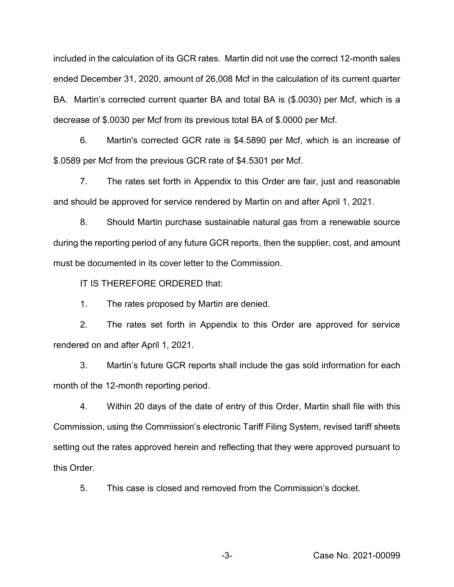included in the calculation of its GCR rates. Martin did not use the correct 12-month sales ended December 31, 2020, amount of 26,008 Mcf in the calculation of its current quarter BA. Martin's corrected current quarter BA and total BA is (\$.0030) per Mcf, which is a decrease of \$.0030 per Mcf from its previous total BA of \$.0000 per Mcf.

6. Martin's corrected GCR rate is \$4.5890 per Mcf, which is an increase of \$.0589 per Mcf from the previous GCR rate of \$4.5301 per Mcf.

7. The rates set forth in Appendix to this Order are fair, just and reasonable and should be approved for service rendered by Martin on and after April 1, 2021.

8. Should Martin purchase sustainable natural gas from a renewable source during the reporting period of any future GCR reports, then the supplier, cost, and amount must be documented in its cover letter to the Commission.

IT IS THEREFORE ORDERED that:

1. The rates proposed by Martin are denied.

2. The rates set forth in Appendix to this Order are approved for service rendered on and after April 1, 2021.

3. Martin's future GCR reports shall include the gas sold information for each month of the 12-month reporting period.

4. Within 20 days of the date of entry of this Order, Martin shall file with this Commission, using the Commission's electronic Tariff Filing System, revised tariff sheets setting out the rates approved herein and reflecting that they were approved pursuant to this Order.

5. This case is closed and removed from the Commission's docket.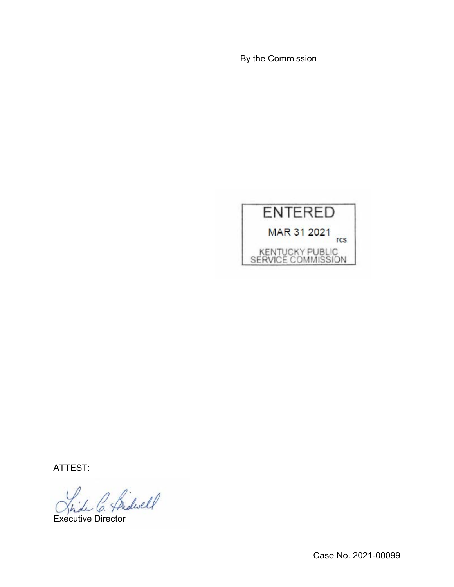By the Commission



ATTEST:

2 Ridwell

Executive Director

Case No. 2021-00099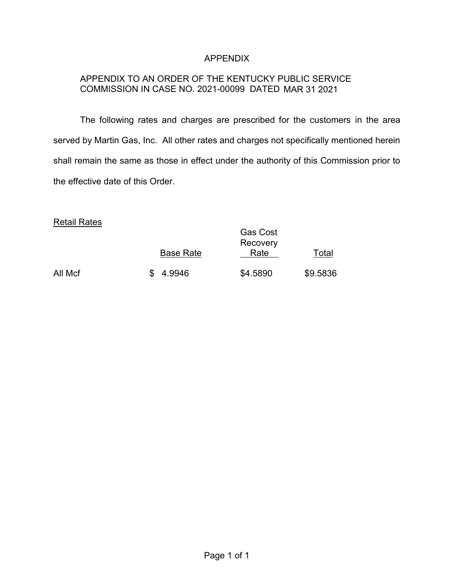# APPENDIX

# APPENDIX TO AN ORDER OF THE KENTUCKY PUBLIC SERVICE COMMISSION IN CASE NO. 2021-00099 DATED MAR 31 2021

The following rates and charges are prescribed for the customers in the area served by Martin Gas, Inc. All other rates and charges not specifically mentioned herein shall remain the same as those in effect under the authority of this Commission prior to the effective date of this Order.

## Retail Rates

|         | <b>Base Rate</b> | <b>Gas Cost</b><br>Recovery<br>Rate | Total    |
|---------|------------------|-------------------------------------|----------|
| All Mcf | \$4.9946         | \$4.5890                            | \$9.5836 |